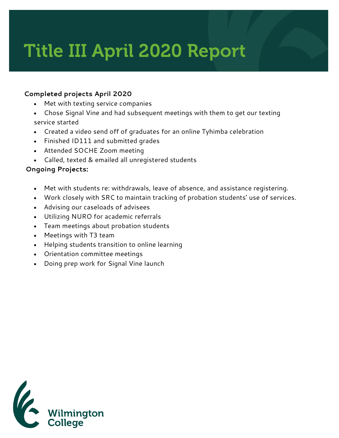# Title III April 2020 Report

#### **Completed projects April 2020**

- Met with texting service companies
- Chose Signal Vine and had subsequent meetings with them to get our texting service started
- Created a video send off of graduates for an online Tyhimba celebration
- Finished ID111 and submitted grades
- Attended SOCHE Zoom meeting
- Called, texted & emailed all unregistered students

### **Ongoing Projects:**

- Met with students re: withdrawals, leave of absence, and assistance registering.
- Work closely with SRC to maintain tracking of probation students' use of services.
- Advising our caseloads of advisees
- Utilizing NURO for academic referrals
- Team meetings about probation students
- Meetings with T3 team
- Helping students transition to online learning
- Orientation committee meetings
- Doing prep work for Signal Vine launch

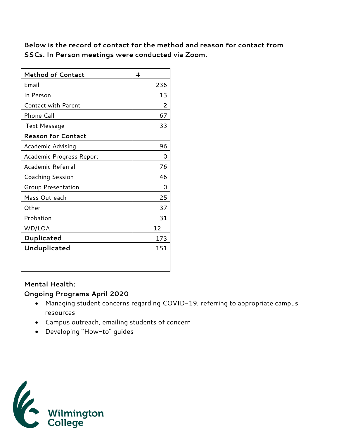**Below is the record of contact for the method and reason for contact from SSCs. In Person meetings were conducted via Zoom.** 

| <b>Method of Contact</b>   | #   |
|----------------------------|-----|
| Email                      | 236 |
| In Person                  | 13  |
| <b>Contact with Parent</b> | 2   |
| Phone Call                 | 67  |
| Text Message               | 33  |
| <b>Reason for Contact</b>  |     |
| Academic Advising          | 96  |
| Academic Progress Report   | Ω   |
| Academic Referral          | 76  |
| Coaching Session           | 46  |
| Group Presentation         | Ω   |
| Mass Outreach              | 25  |
| Other                      | 37  |
| Probation                  | 31  |
| WD/LOA                     | 12  |
| Duplicated                 | 173 |
| Unduplicated               | 151 |
|                            |     |

#### **Mental Health:**

#### **Ongoing Programs April 2020**

- Managing student concerns regarding COVID-19, referring to appropriate campus resources
- Campus outreach, emailing students of concern
- Developing "How-to" guides